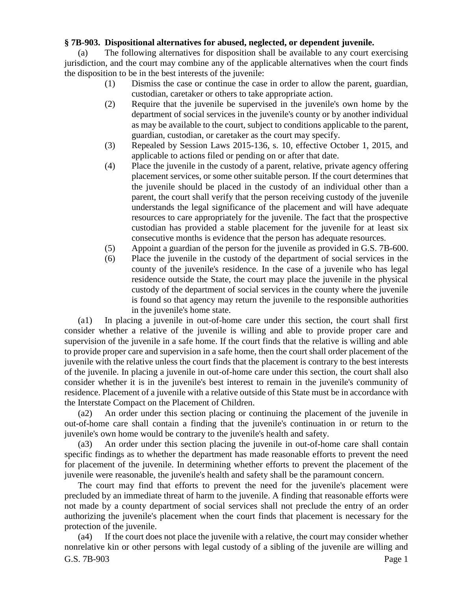## **§ 7B-903. Dispositional alternatives for abused, neglected, or dependent juvenile.**

(a) The following alternatives for disposition shall be available to any court exercising jurisdiction, and the court may combine any of the applicable alternatives when the court finds the disposition to be in the best interests of the juvenile:

- (1) Dismiss the case or continue the case in order to allow the parent, guardian, custodian, caretaker or others to take appropriate action.
- (2) Require that the juvenile be supervised in the juvenile's own home by the department of social services in the juvenile's county or by another individual as may be available to the court, subject to conditions applicable to the parent, guardian, custodian, or caretaker as the court may specify.
- (3) Repealed by Session Laws 2015-136, s. 10, effective October 1, 2015, and applicable to actions filed or pending on or after that date.
- (4) Place the juvenile in the custody of a parent, relative, private agency offering placement services, or some other suitable person. If the court determines that the juvenile should be placed in the custody of an individual other than a parent, the court shall verify that the person receiving custody of the juvenile understands the legal significance of the placement and will have adequate resources to care appropriately for the juvenile. The fact that the prospective custodian has provided a stable placement for the juvenile for at least six consecutive months is evidence that the person has adequate resources.
- (5) Appoint a guardian of the person for the juvenile as provided in G.S. 7B-600.
- (6) Place the juvenile in the custody of the department of social services in the county of the juvenile's residence. In the case of a juvenile who has legal residence outside the State, the court may place the juvenile in the physical custody of the department of social services in the county where the juvenile is found so that agency may return the juvenile to the responsible authorities in the juvenile's home state.

(a1) In placing a juvenile in out-of-home care under this section, the court shall first consider whether a relative of the juvenile is willing and able to provide proper care and supervision of the juvenile in a safe home. If the court finds that the relative is willing and able to provide proper care and supervision in a safe home, then the court shall order placement of the juvenile with the relative unless the court finds that the placement is contrary to the best interests of the juvenile. In placing a juvenile in out-of-home care under this section, the court shall also consider whether it is in the juvenile's best interest to remain in the juvenile's community of residence. Placement of a juvenile with a relative outside of this State must be in accordance with the Interstate Compact on the Placement of Children.

(a2) An order under this section placing or continuing the placement of the juvenile in out-of-home care shall contain a finding that the juvenile's continuation in or return to the juvenile's own home would be contrary to the juvenile's health and safety.

(a3) An order under this section placing the juvenile in out-of-home care shall contain specific findings as to whether the department has made reasonable efforts to prevent the need for placement of the juvenile. In determining whether efforts to prevent the placement of the juvenile were reasonable, the juvenile's health and safety shall be the paramount concern.

The court may find that efforts to prevent the need for the juvenile's placement were precluded by an immediate threat of harm to the juvenile. A finding that reasonable efforts were not made by a county department of social services shall not preclude the entry of an order authorizing the juvenile's placement when the court finds that placement is necessary for the protection of the juvenile.

G.S. 7B-903 Page 1 (a4) If the court does not place the juvenile with a relative, the court may consider whether nonrelative kin or other persons with legal custody of a sibling of the juvenile are willing and